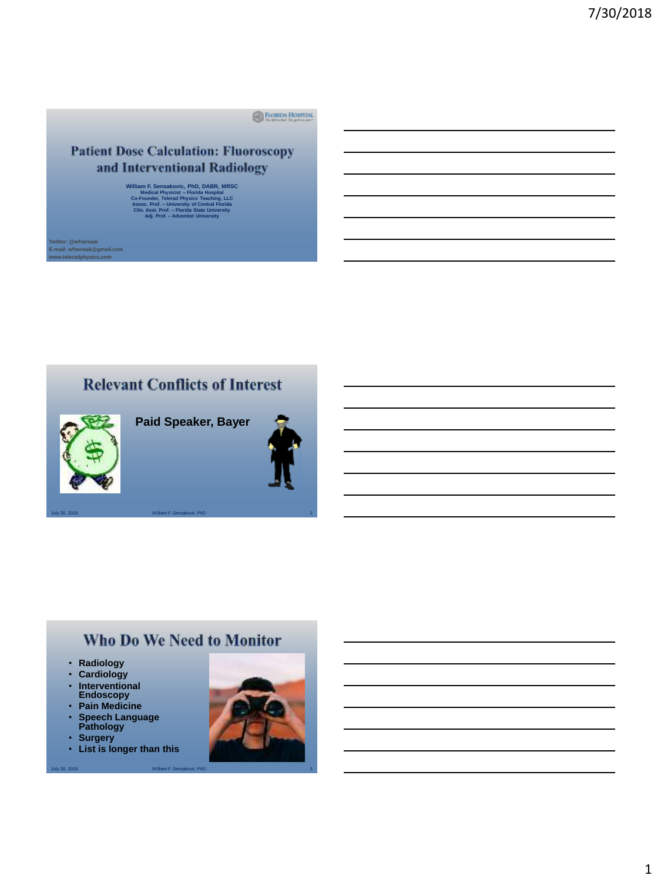**E FLORIDA HOSPITAL** 

#### **Patient Dose Calculation: Fluoroscopy** and Interventional Radiology

William F. Sensakovic, PhD, DABR, MRSC<br>Medical Physicist – Florida Hospital<br>Co-Founder, Telerad Physics Teaching, LLC<br>Assoc. Prof. – University of Central Florida<br>Clin. Asst. Prof. – Florida State University **Adj. Prof. – Adventist University**

r: @wfsensak **E-mail: wfsensak@gmail.com www.teleradphysics.com**

# **Relevant Conflicts of Interest**



**Paid Speaker, Bayer**



July 30, 2018 William F. Sensakovic PhD

# Who Do We Need to Monitor

- **Radiology**
- **Cardiology**
- **Interventional Endoscopy**
- **Pain Medicine** • **Speech Language Pathology**
- **Surgery**
- **List is longer than this**

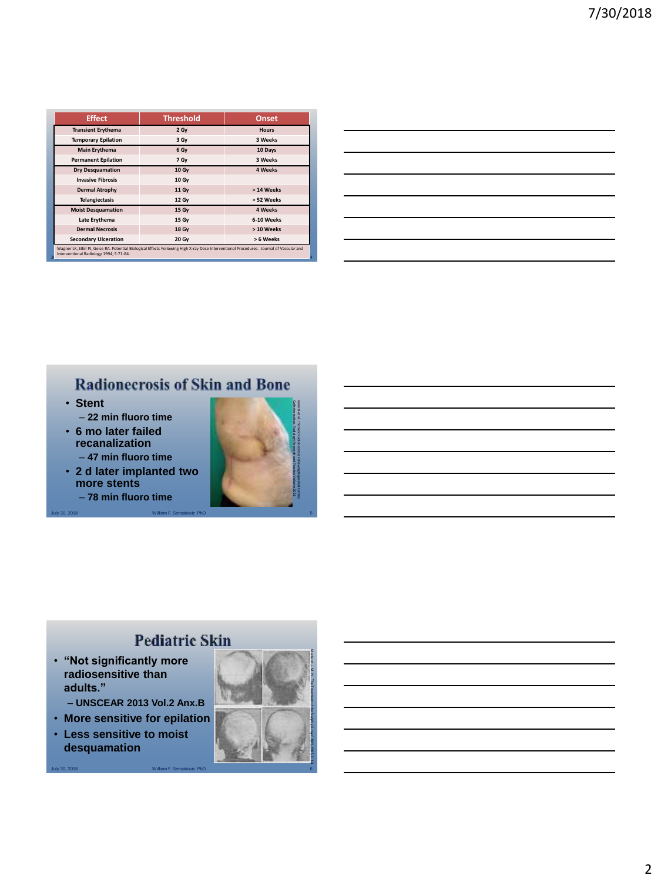| <b>Effect</b>               | <b>Threshold</b> | <b>Onset</b>   |
|-----------------------------|------------------|----------------|
| <b>Transient Erythema</b>   | 2 Gy             | <b>Hours</b>   |
| <b>Temporary Epilation</b>  | 3 Gy             | 3 Weeks        |
| <b>Main Erythema</b>        | 6 Gy             | 10 Days        |
| <b>Permanent Epilation</b>  | 7 Gy             | 3 Weeks        |
| <b>Dry Desquamation</b>     | 10 Gy            | <b>4 Weeks</b> |
| <b>Invasive Fibrosis</b>    | 10 Gy            |                |
| <b>Dermal Atrophy</b>       | 11 Gy            | > 14 Weeks     |
| <b>Telangiectasis</b>       | 12 Gy            | > 52 Weeks     |
| <b>Moist Desquamation</b>   | 15 Gy            | <b>4 Weeks</b> |
| Late Erythema               | 15 Gy            | 6-10 Weeks     |
| <b>Dermal Necrosis</b>      | 18 Gy            | > 10 Weeks     |
| <b>Secondary Ulceration</b> | 20 Gy            | > 6 Weeks      |

# **Radionecrosis of Skin and Bone**

July 30, 2018 William F. Sensakovic PhD 5

- **Stent** – **22 min fluoro time**
- **6 mo later failed recanalization** – **47 min fluoro time**
- **2 d later implanted two more stents**
	- **78 min fluoro time**



# **Pediatric Skin**

- **"Not significantly more radiosensitive than adults."** 
	- **UNSCEAR 2013 Vol.2 Anx.B**
- **More sensitive for epilation**
- **Less sensitive to moist desquamation**

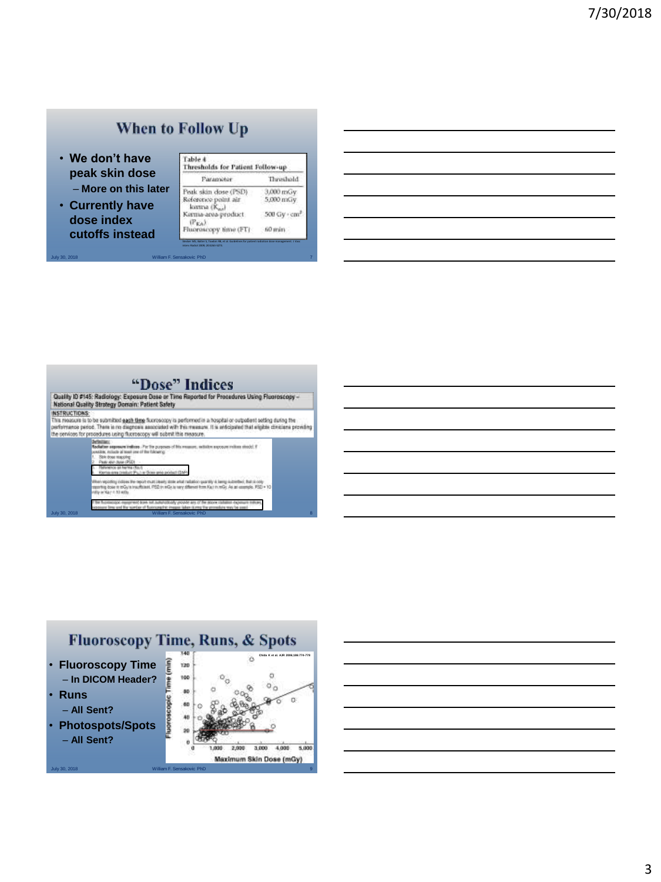## When to Follow Up

July 30, 2018 William F. Sensakovic PhD 7

interv Radiol 2009; 20:S263-S273.

- **We don't have peak skin dose** – **More on this later**
- **Currently have dose index cutoffs instead**

| hresholds for Patient Follow-up     |                          |
|-------------------------------------|--------------------------|
| Paramoter                           | Threshold                |
| Peak skin dose (PSD)                | yGan 000.E               |
| Reference point air<br>kurtria (K.) | Vi.Nn 000.2              |
| Karma-area-product                  | 500 Gy · cm <sup>2</sup> |
| Thursday                            | fr0 min                  |

## "Dose" Indices

Quality to #145: Radiology: Exposure Date or Time Reported for Procedures Using Fluorescopy - National Quality Strategy Demain: Patient Safety

The motive of the system of the state of the state of the state of the state of the state of the state of the state of the state of the state of the state of the state of the state of the state of the state of the state of

in Pirth pa exposure million strade). If

July 30, 2018 William F. Sensakovic PhD 8

Fluoroscopy Time, Runs, & Spots  $\ddot{\circ}$ **Chida K et al. AJR 2006;186:774-778**• **Fluoroscopy Time** E 120 – **In DICOM Header?** 100  $\alpha$ **PH**  $\circ$ o  $\bullet$ • **Runs** aspeasease  $\alpha$  $-60$ – **All Sent?** • **Photospots/Spots Ad** – **All Sent?**  $\ddot{\mathbf{0}}$ 1,000 2,000 3,000 4,000 5,000 Maximum Skin Dose (mGy)

July 30, 2018 William F. Sensakovic PhD

3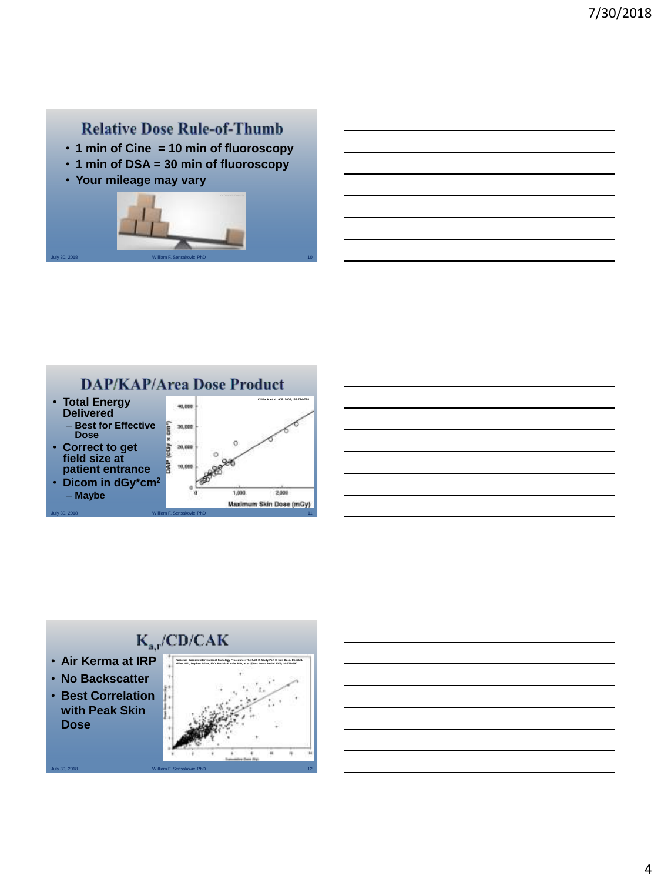#### **Relative Dose Rule-of-Thumb**

- **1 min of Cine = 10 min of fluoroscopy**
- **1 min of DSA = 30 min of fluoroscopy**
- **Your mileage may vary**





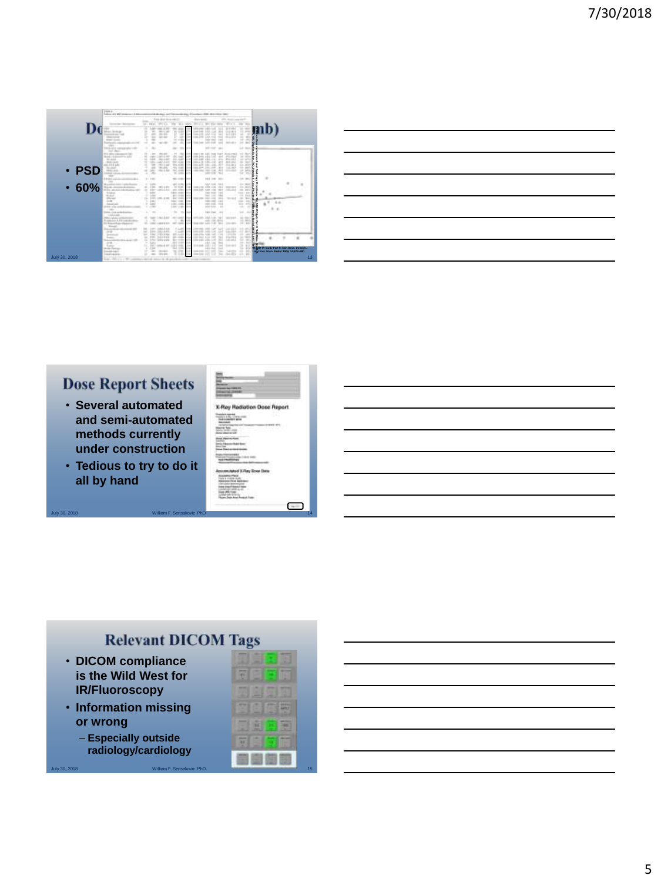

#### **Dose Report Sheets**

- **Several automated and semi-automated methods currently under construction**
- **Tedious to try to do it all by hand**

| y Radiation Dose Report |
|-------------------------|
|                         |
| r)                      |
|                         |
|                         |
|                         |
|                         |
|                         |
|                         |
|                         |
|                         |
|                         |
|                         |
|                         |
|                         |

## **Relevant DICOM Tags**

- **DICOM compliance is the Wild West for IR/Fluoroscopy**
- **Information missing or wrong**
	- **Especially outside radiology/cardiology**

|               | • DICOM compliance        |    |
|---------------|---------------------------|----|
|               | is the Wild West for      |    |
|               | <b>IR/Fluoroscopy</b>     |    |
|               | • Information missing     |    |
| or wrong      |                           |    |
|               | - Especially outside      |    |
|               | radiology/cardiology      |    |
| July 30, 2018 | William F. Sensakovic PhD | 15 |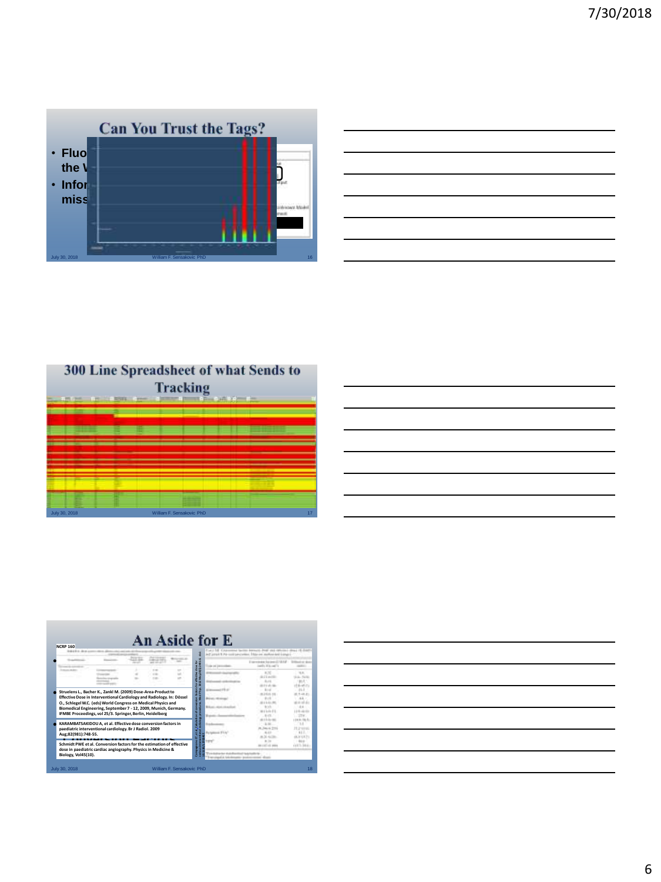

| the control of the control of the control of the control of the control of the control of the control of the control of the control of the control of the control of the control of the control of the control of the control |  |  |
|-------------------------------------------------------------------------------------------------------------------------------------------------------------------------------------------------------------------------------|--|--|
|                                                                                                                                                                                                                               |  |  |
|                                                                                                                                                                                                                               |  |  |
|                                                                                                                                                                                                                               |  |  |
|                                                                                                                                                                                                                               |  |  |
|                                                                                                                                                                                                                               |  |  |
| the contract of the contract of the contract of the contract of                                                                                                                                                               |  |  |
|                                                                                                                                                                                                                               |  |  |
|                                                                                                                                                                                                                               |  |  |
|                                                                                                                                                                                                                               |  |  |
|                                                                                                                                                                                                                               |  |  |
|                                                                                                                                                                                                                               |  |  |
|                                                                                                                                                                                                                               |  |  |

300 Line Spreadsheet of what Sends to **Tracking** July 30, 2018 William F. Sensakovic PhD 17

| <b><i>RAILWAY</i></b> |                                                                                                                                                                                                |  | ã                |       |               |
|-----------------------|------------------------------------------------------------------------------------------------------------------------------------------------------------------------------------------------|--|------------------|-------|---------------|
|                       |                                                                                                                                                                                                |  |                  |       |               |
|                       |                                                                                                                                                                                                |  |                  | $-11$ | 19.10<br>7.45 |
|                       | Struelens L., Bacher K., Zankl M. (2009) Dose-Area-Product to<br>Effective Dose in Interventional Cardiology and Radiology. In: Dössel                                                         |  | é                |       |               |
|                       | O., Schlegel W.C. (eds) World Congress on Medical Physics and<br>Biomedical Engineering, September 7 - 12, 2009, Munich, Germany.<br>IFMBE Proceedings, vol 25/3. Springer, Berlin, Heidelberg |  | of <sub>co</sub> |       |               |
| Aug:82(981):748-55.   | KARAMBATSAKIDOU A, et al. Effective dose conversion factors in<br>paediatric interventional cardiology, Br J Radiol, 2009                                                                      |  |                  |       |               |

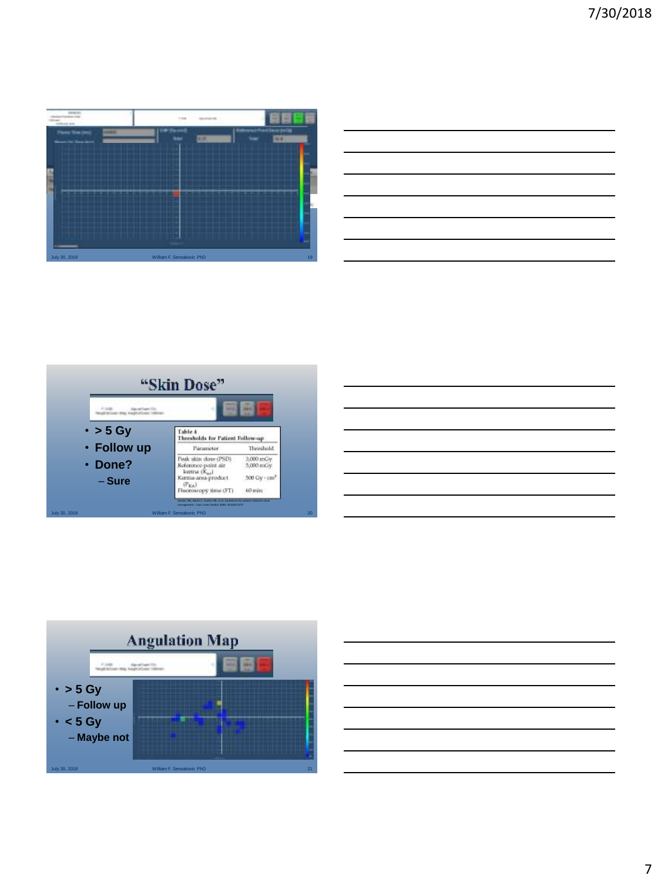







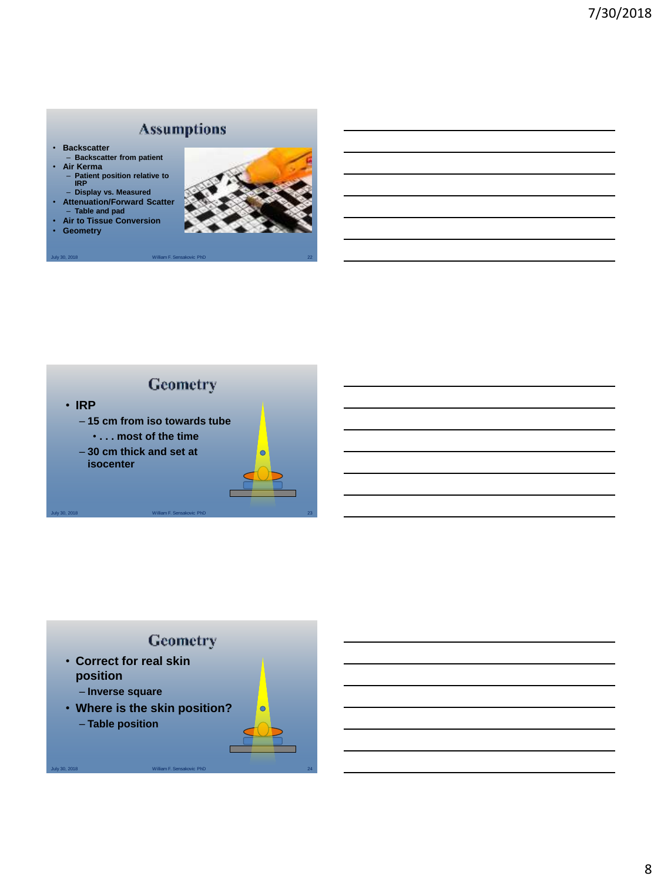## **Assumptions**

- **Backscatter**
- **Backscatter from patient** • **Air Kerma**
	- **Patient position relative to IRP**
- **Display vs. Measured Attenuation/Forward Scatter**
- **Table and pad**

July 30, 2018 William F. Sensakovic PhD

• **Air to Tissue Conversion** • **Geometry**



### Geometry • **IRP** – **15 cm from iso towards tube** • **. . . most of the time** – **30 cm thick and set at**   $\bullet$ **isocenter**

## Geometry

July 30, 2018 William F. Sensakovic PhD 24

 $\bullet$ 

- **Correct for real skin position**
	- **Inverse square**
- **Where is the skin position?**
	- **Table position**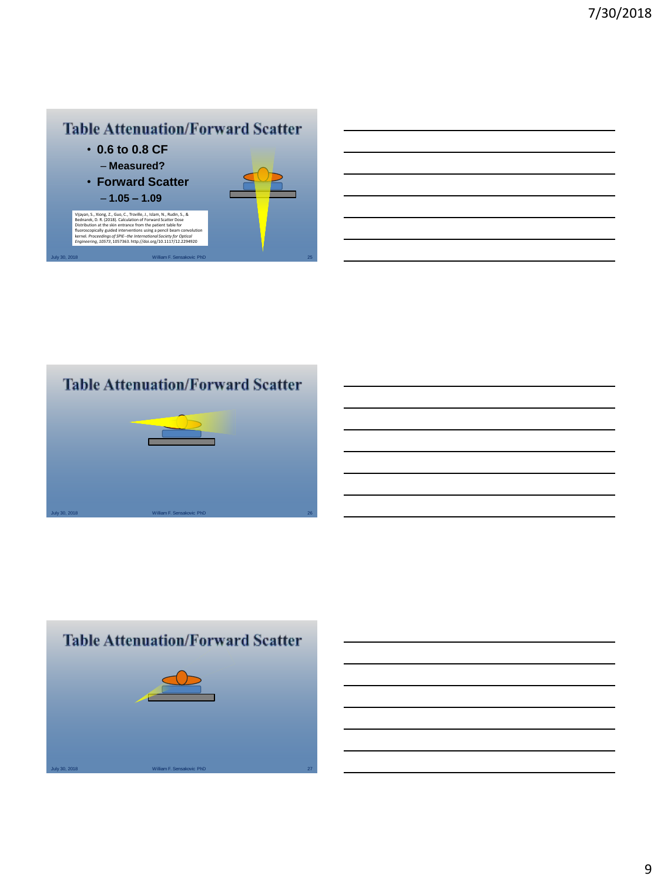## **Table Attenuation/Forward Scatter**

- **0.6 to 0.8 CF** – **Measured?**
- **Forward Scatter** – **1.05 – 1.09**

Vilyan, S., Xiong, Z., Guo, C., Troville, J., Islam, N., Rudin, S., &<br>Biednarek, D. R. (2018). Calculation of Forward Scatter Dose<br>Distribution at the skin entrance from the patient table for<br>fluoroscopically guided interv

July 30, 2018 William F. Sensakovic PhD



# **Table Attenuation/Forward Scatter**



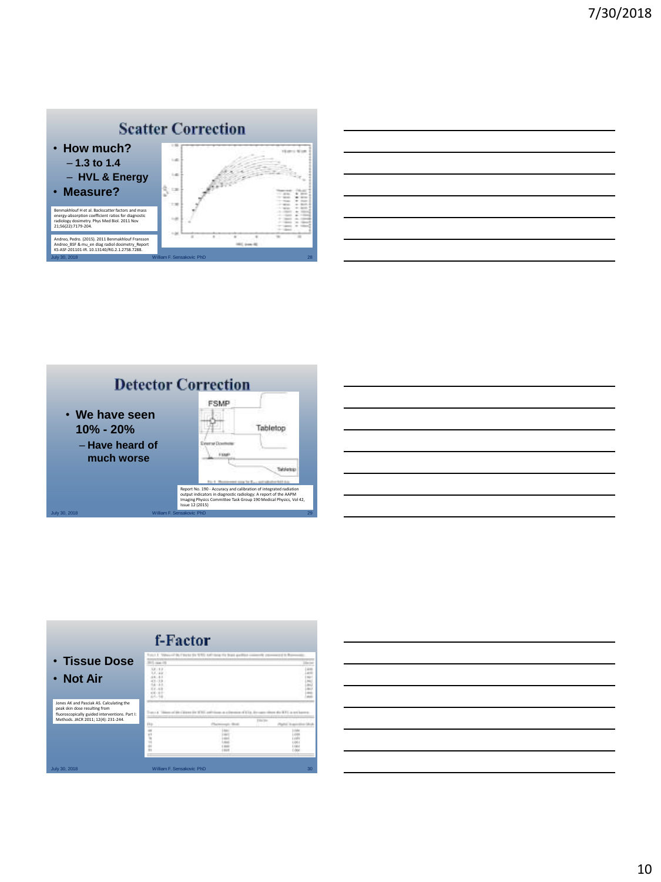





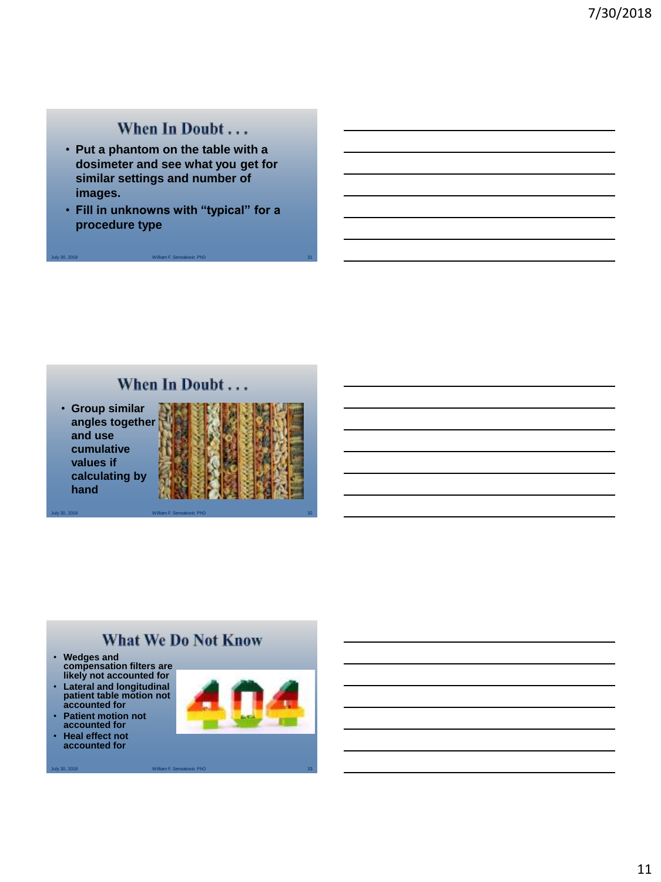## When In Doubt...

- **Put a phantom on the table with a dosimeter and see what you get for similar settings and number of images.**
- **Fill in unknowns with "typical" for a procedure type**

July 30, 2018 William F. Sensakovic PhD 31

## When In Doubt...

July 30, 2018 William F. Sensakovic PhD 32

• **Group similar angles together and use cumulative values if calculating by hand**



### **What We Do Not Know**

- **Wedges and compensation filters are likely not accounted for**
- **Lateral and longitudinal patient table motion not accounted for**
- **Patient motion not accounted for**
- **Heal effect not accounted for**

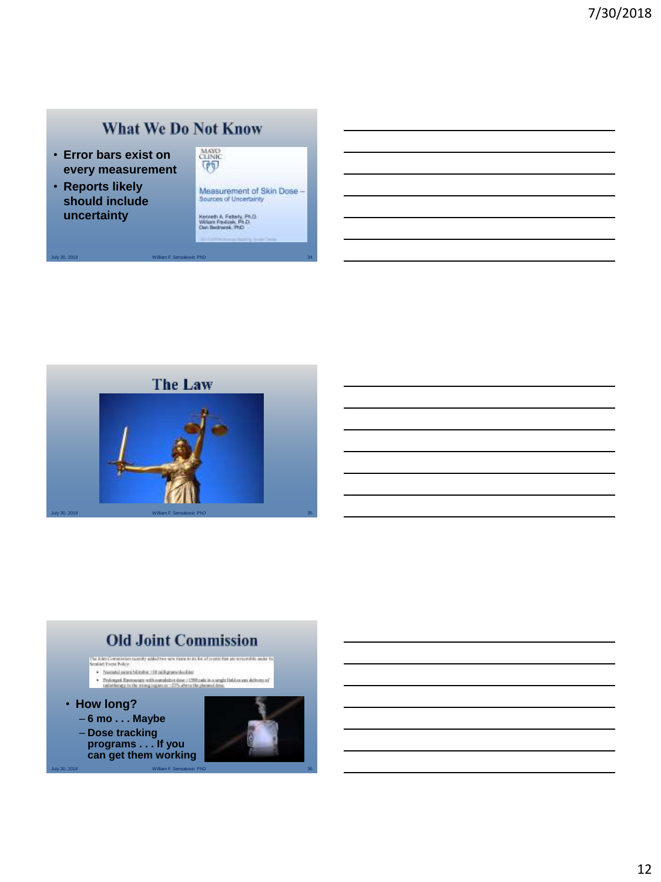## **What We Do Not Know**

July 30, 2018 William F. Sensakovic PhD 34

- **Error bars exist on every measurement**
- **Reports likely should include uncertainty**



Measurement of Skin Dose -<br>Sources of Uncertainty

Kenneth A. Felterty, Ph.D.<br>William Pavilicek, Ph.D.<br>Dan Bedrumsk, Ph.D.



# **Old Joint Commission**



36

July 30, 2018 William F. Sensakovic PhD

12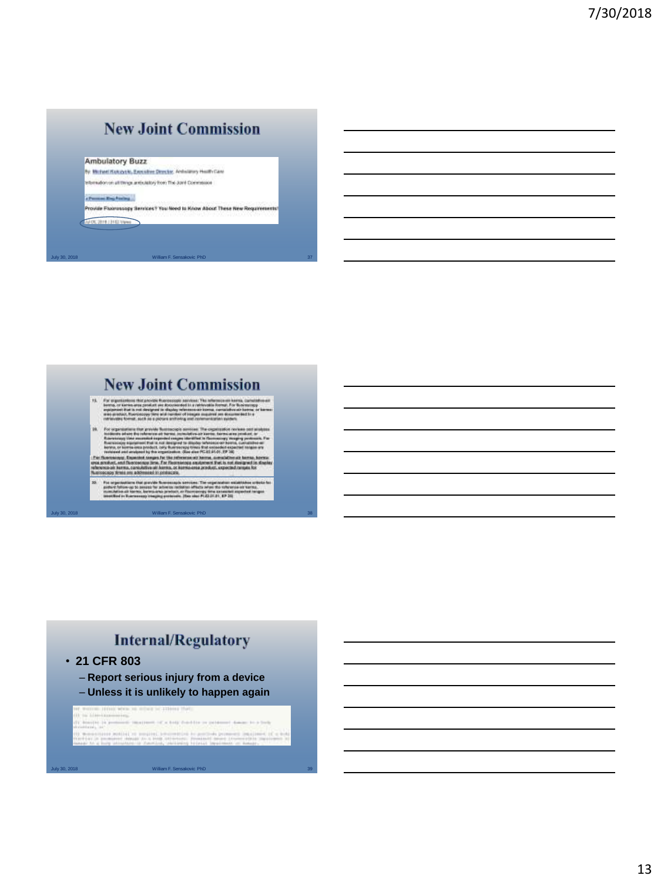# **New Joint Commission**

#### **Ambulatory Buzz**

By Michael Kuloschk, Executive Deecke, Antislatory Hualti Care Information on all things antiquisitory from The Josef Commission

#### . Personal Reg Forders

Provide Fluorascopy Services? You Need to Know About These New Requirements! **MOC2018 J REVIEW** 

July 30, 2018 William F. Sensakovic PhD 37

# **New Joint Commission**

- For experiences that provide the concepts served n, am that is not designer<br>situat, fluorateauxy (litre<br>des format, such se s p
- ń ù. Pá
- **CALLED**

July 30, 2018 William F. Sensakovic PhD 38

# **Internal/Regulatory**

• **21 CFR 803**

July 30, 2018 William F. Sensakovic PhD

- **Report serious injury from a device**
- **Unless it is unlikely to happen again**

of frames (film) when an actual or different that<br>It is himstandscored It denotes in  $p\to\infty$  . Hence, or a top fund to  $\infty$  problem of the  $p$ I have the settle of the country of the settle books of the settle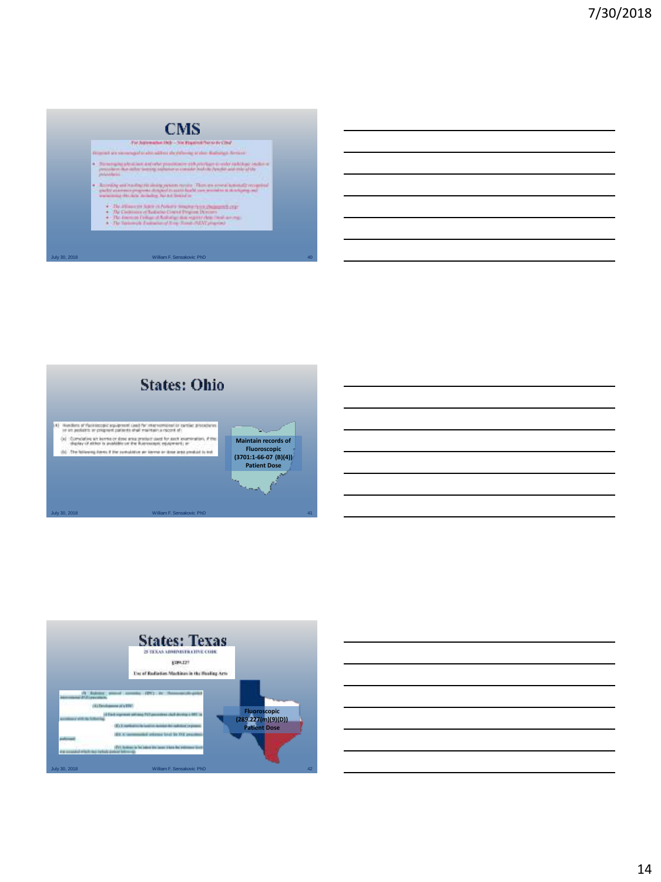

**Par kidn** at also subject the right-top of their distinguistic

- allow a strater producers and environmental contractor
- entradigira del generativo Transportante<br>1980: Para de Santa de Santa de Santa de Santa de Santa de Santa de Santa de Santa de Santa de Santa de Santa<br>1980: Para de Santa de Santa de Santa de Santa de Santa de Santa de San

- $\hat{\Sigma}$  . The differences from a constant temperature, the<br>second correlation . The frame and the following Download space of<br>the model of  $\hat{\Sigma}$  . The frame and formula of the model<br>of  $\hat{\Sigma}$  and  $\hat{\Sigma}$  . The frame an
- 





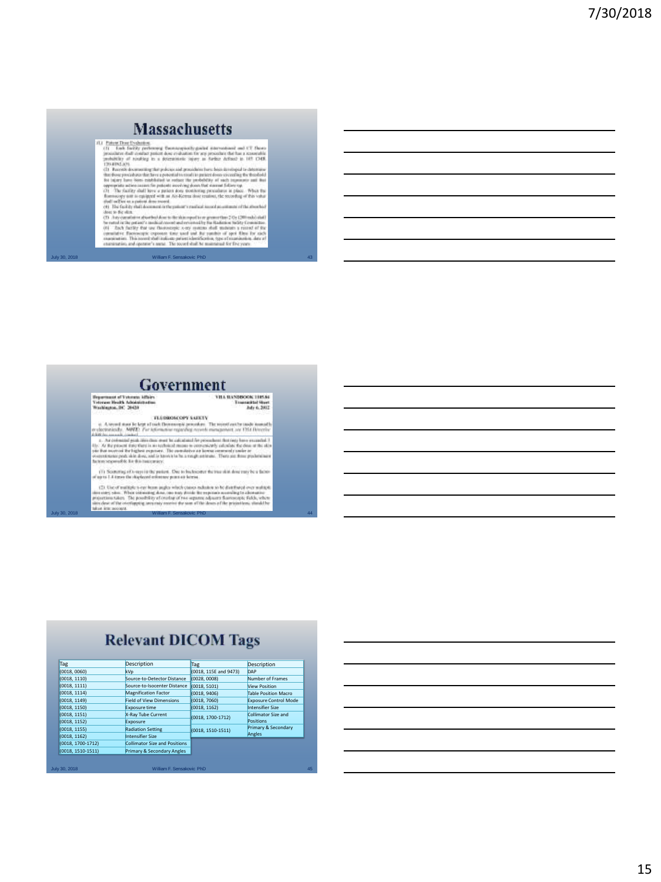#### **Massachusetts**

JULY 30, 2018 William Francisco Controller and the state of the state of the state of the state of the state of the state of the state of the state of the state of the state of the state of the state of the state of the s

Government

**Experience of Television Affairs**<br>Television Health Administration<br>Washington, DC 20431  $\begin{array}{c} \textbf{VHA INNSBGOOR THESE}\\ \textbf{Transmitted Short}\\ \textbf{I} \\ \textbf{M19.6, 2002} \end{array}$ 

TLUMMACOPY SAEKTY

 $\begin{tabular}{lcccc} $a$ & A second and be left: & \textbf{NonREOR} \textbf{overs} \textbf{new} \textbf{new} \textbf{new} \textbf{new} \textbf{new} \textbf{new} \textbf{new} \textbf{new} \textbf{new} \textbf{new} \textbf{new} \textbf{new} \textbf{new} \textbf{new} \textbf{new} \textbf{new} \textbf{new} \textbf{new} \textbf{new} \textbf{new} \textbf{new} \textbf{new} \textbf{new} \textbf{new} \textbf{new} \textbf{new} \textbf{new} \textbf{new} \textbf{new} \textbf{new} \textbf{new}$ 

(1) Searchig of Coupsi is the points. One to buckeouser the two skits does may be a factor of up to 1.4 times the sloploced reference pums as lower.

 $\langle 2\rangle$ Ule of multiple, t-ray hum imples which cannot define to be distributed over multiple proportion takes, the production of the symmetry of the expansion of the symmetry of the symmetry of the symmetry of the symmet

## **Relevant DICOM Tags**

| Tag                 | <b>Description</b>                   | <b>Tag</b>            | Description                  |
|---------------------|--------------------------------------|-----------------------|------------------------------|
| (0018, 0060)        | kVp                                  | (0018, 115E and 9473) | DAP                          |
| (0018, 1110)        | Source-to-Detector Distance          | (0028, 0008)          | Number of Frames             |
| (0018, 1111)        | Source-to-Isocenter Distance         | (0018, 5101)          | <b>View Position</b>         |
| (0018, 1114)        | <b>Magnification Factor</b>          | (0018, 9406)          | <b>Table Position Macro</b>  |
| (0018, 1149)        | <b>Field of View Dimensions</b>      | (0018, 7060)          | <b>Exposure Control Mode</b> |
| (0018, 1150)        | <b>Exposure time</b>                 | (0018, 1162)          | Intensifier Size             |
| (0018, 1151)        | X-Ray Tube Current                   | (0018, 1700-1712)     | Collimator Size and          |
| (0018, 1152)        | Exposure                             |                       | Positions                    |
| (0018, 1155)        | <b>Radiation Setting</b>             | (0018, 1510-1511)     | Primary & Secondary          |
| (0018, 1162)        | <b>Intensifier Size</b>              |                       | Angles                       |
| (0018, 1700-1712)   | <b>Collimator Size and Positions</b> |                       |                              |
| $(0018, 1510-1511)$ | Primary & Secondary Angles           |                       |                              |
|                     |                                      |                       |                              |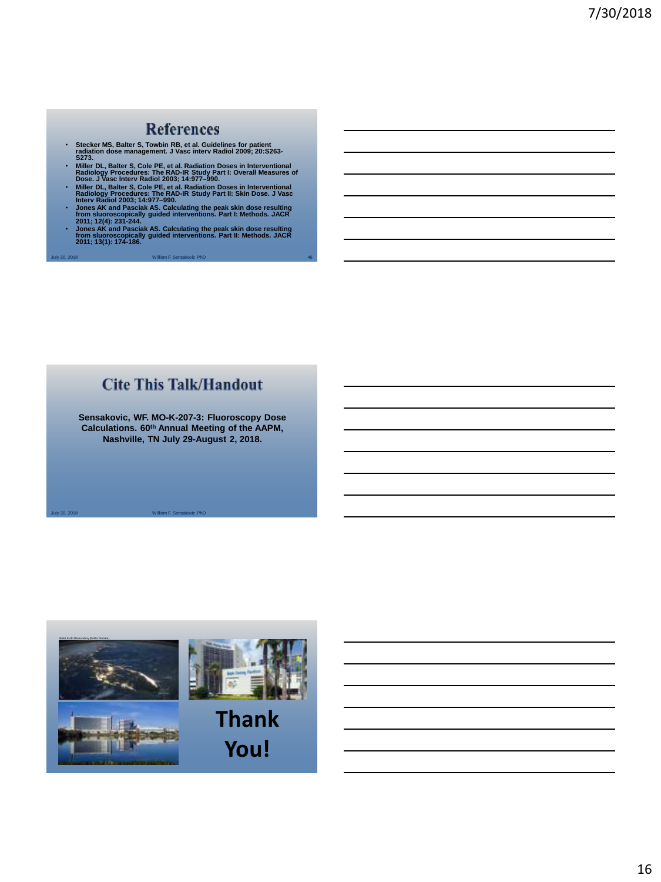#### **References**

- **Stecker MS, Balter S, Towbin RB, et al. Guidelines for patient radiation dose management. J Vasc interv Radiol 2009; 20:S263- S273.**
- Miller DL, Balter S, Cole PE, et al. Radiation Doses in Interventional<br>Radiology Procedures: The RAD-IR Study Part I: Overall Measures of<br>Dose. J Vasc Interv Radiol 2003; 14:977–990.<br>Radiology Procedures: The RAD-IR Stud
- 
- 
- July 30, 2018 William F. Sensakovic PhD 46 • **Jones AK and Pasciak AS. Calculating the peak skin dose resulting from sluoroscopically guided interventions. Part II: Methods. JACR 2011; 13(1): 174-186.**

# **Cite This Talk/Handout**

**Sensakovic, WF. MO-K-207-3: Fluoroscopy Dose Calculations. 60th Annual Meeting of the AAPM, Nashville, TN July 29-August 2, 2018.**